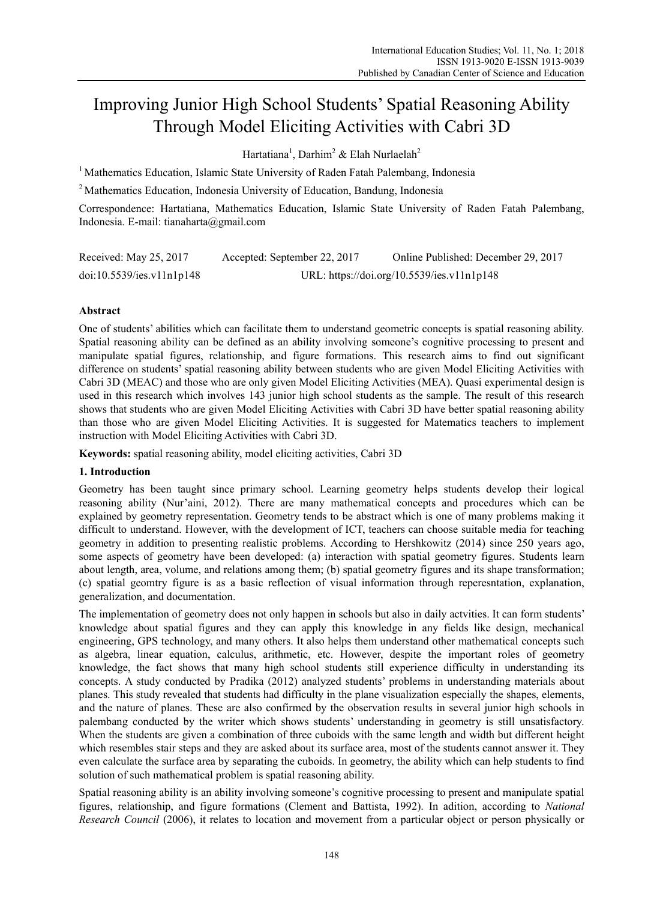# Improving Junior High School Students' Spatial Reasoning Ability Through Model Eliciting Activities with Cabri 3D

Hartatiana<sup>1</sup>, Darhim<sup>2</sup> & Elah Nurlaelah<sup>2</sup>

<sup>1</sup> Mathematics Education, Islamic State University of Raden Fatah Palembang, Indonesia

2 Mathematics Education, Indonesia University of Education, Bandung, Indonesia

Correspondence: Hartatiana, Mathematics Education, Islamic State University of Raden Fatah Palembang, Indonesia. E-mail: tianaharta@gmail.com

| Received: May 25, 2017    | Accepted: September 22, 2017 | Online Published: December 29, 2017        |
|---------------------------|------------------------------|--------------------------------------------|
| doi:10.5539/ies.v11n1p148 |                              | URL: https://doi.org/10.5539/ies.v11n1p148 |

## **Abstract**

One of students' abilities which can facilitate them to understand geometric concepts is spatial reasoning ability. Spatial reasoning ability can be defined as an ability involving someone's cognitive processing to present and manipulate spatial figures, relationship, and figure formations. This research aims to find out significant difference on students' spatial reasoning ability between students who are given Model Eliciting Activities with Cabri 3D (MEAC) and those who are only given Model Eliciting Activities (MEA). Quasi experimental design is used in this research which involves 143 junior high school students as the sample. The result of this research shows that students who are given Model Eliciting Activities with Cabri 3D have better spatial reasoning ability than those who are given Model Eliciting Activities. It is suggested for Matematics teachers to implement instruction with Model Eliciting Activities with Cabri 3D.

**Keywords:** spatial reasoning ability, model eliciting activities, Cabri 3D

## **1. Introduction**

Geometry has been taught since primary school. Learning geometry helps students develop their logical reasoning ability (Nur'aini, 2012). There are many mathematical concepts and procedures which can be explained by geometry representation. Geometry tends to be abstract which is one of many problems making it difficult to understand. However, with the development of ICT, teachers can choose suitable media for teaching geometry in addition to presenting realistic problems. According to Hershkowitz (2014) since 250 years ago, some aspects of geometry have been developed: (a) interaction with spatial geometry figures. Students learn about length, area, volume, and relations among them; (b) spatial geometry figures and its shape transformation; (c) spatial geomtry figure is as a basic reflection of visual information through reperesntation, explanation, generalization, and documentation.

The implementation of geometry does not only happen in schools but also in daily actvities. It can form students' knowledge about spatial figures and they can apply this knowledge in any fields like design, mechanical engineering, GPS technology, and many others. It also helps them understand other mathematical concepts such as algebra, linear equation, calculus, arithmetic, etc. However, despite the important roles of geometry knowledge, the fact shows that many high school students still experience difficulty in understanding its concepts. A study conducted by Pradika (2012) analyzed students' problems in understanding materials about planes. This study revealed that students had difficulty in the plane visualization especially the shapes, elements, and the nature of planes. These are also confirmed by the observation results in several junior high schools in palembang conducted by the writer which shows students' understanding in geometry is still unsatisfactory. When the students are given a combination of three cuboids with the same length and width but different height which resembles stair steps and they are asked about its surface area, most of the students cannot answer it. They even calculate the surface area by separating the cuboids. In geometry, the ability which can help students to find solution of such mathematical problem is spatial reasoning ability.

Spatial reasoning ability is an ability involving someone's cognitive processing to present and manipulate spatial figures, relationship, and figure formations (Clement and Battista, 1992). In adition, according to *National Research Council* (2006), it relates to location and movement from a particular object or person physically or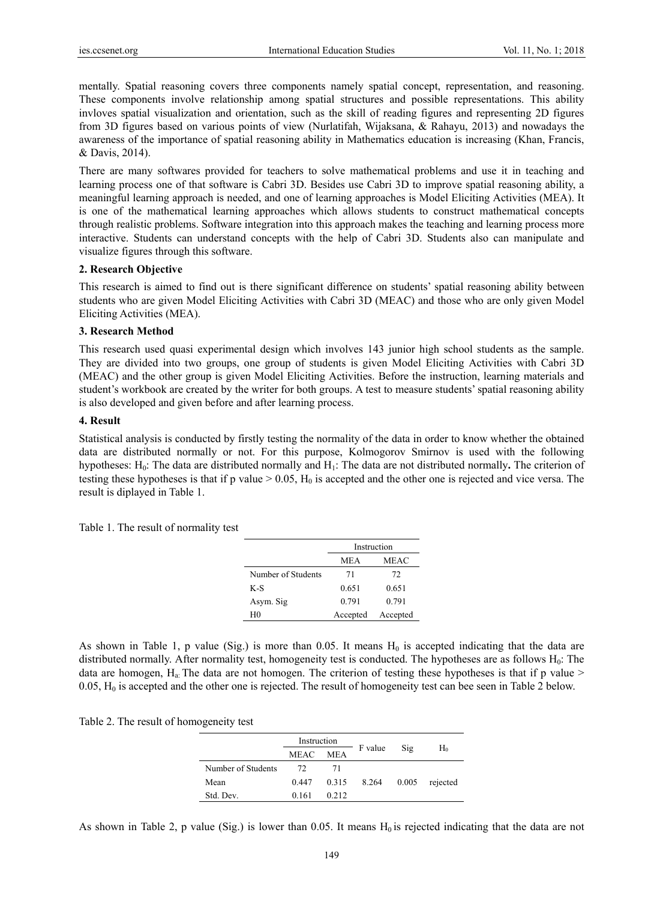mentally. Spatial reasoning covers three components namely spatial concept, representation, and reasoning. These components involve relationship among spatial structures and possible representations. This ability invloves spatial visualization and orientation, such as the skill of reading figures and representing 2D figures from 3D figures based on various points of view (Nurlatifah, Wijaksana, & Rahayu, 2013) and nowadays the awareness of the importance of spatial reasoning ability in Mathematics education is increasing (Khan, Francis, & Davis, 2014).

There are many softwares provided for teachers to solve mathematical problems and use it in teaching and learning process one of that software is Cabri 3D. Besides use Cabri 3D to improve spatial reasoning ability, a meaningful learning approach is needed, and one of learning approaches is Model Eliciting Activities (MEA). It is one of the mathematical learning approaches which allows students to construct mathematical concepts through realistic problems. Software integration into this approach makes the teaching and learning process more interactive. Students can understand concepts with the help of Cabri 3D. Students also can manipulate and visualize figures through this software.

#### **2. Research Objective**

This research is aimed to find out is there significant difference on students' spatial reasoning ability between students who are given Model Eliciting Activities with Cabri 3D (MEAC) and those who are only given Model Eliciting Activities (MEA).

### **3. Research Method**

This research used quasi experimental design which involves 143 junior high school students as the sample. They are divided into two groups, one group of students is given Model Eliciting Activities with Cabri 3D (MEAC) and the other group is given Model Eliciting Activities. Before the instruction, learning materials and student's workbook are created by the writer for both groups. A test to measure students' spatial reasoning ability is also developed and given before and after learning process.

#### **4. Result**

Statistical analysis is conducted by firstly testing the normality of the data in order to know whether the obtained data are distributed normally or not. For this purpose, Kolmogorov Smirnov is used with the following hypotheses: H0: The data are distributed normally and H1: The data are not distributed normally**.** The criterion of testing these hypotheses is that if p value  $> 0.05$ , H<sub>0</sub> is accepted and the other one is rejected and vice versa. The result is diplayed in Table 1.

|  |  | Table 1. The result of normality test |  |
|--|--|---------------------------------------|--|
|--|--|---------------------------------------|--|

|                    | Instruction |             |  |
|--------------------|-------------|-------------|--|
|                    | <b>MEA</b>  | <b>MEAC</b> |  |
| Number of Students | 71          | 72          |  |
| K-S                | 0.651       | 0.651       |  |
| Asym. Sig          | 0.791       | 0.791       |  |
| H0                 | Accepted    | Accepted    |  |

As shown in Table 1, p value (Sig.) is more than 0.05. It means  $H_0$  is accepted indicating that the data are distributed normally. After normality test, homogeneity test is conducted. The hypotheses are as follows  $H_0$ : The data are homogen,  $H_a$ . The data are not homogen. The criterion of testing these hypotheses is that if p value >  $0.05$ ,  $H_0$  is accepted and the other one is rejected. The result of homogeneity test can bee seen in Table 2 below.

Table 2. The result of homogeneity test

|                    | Instruction |            |                            |  |                  |
|--------------------|-------------|------------|----------------------------|--|------------------|
|                    | MEAC        | <b>MEA</b> | F value<br>Si <sub>2</sub> |  | $H_0$            |
| Number of Students | 72          | 71         |                            |  |                  |
| Mean               | 0.447       | 0.315      | 8.264                      |  | $0.005$ rejected |
| Std. Dev.          | 0.161       | 0.212      |                            |  |                  |

As shown in Table 2, p value (Sig.) is lower than 0.05. It means  $H_0$  is rejected indicating that the data are not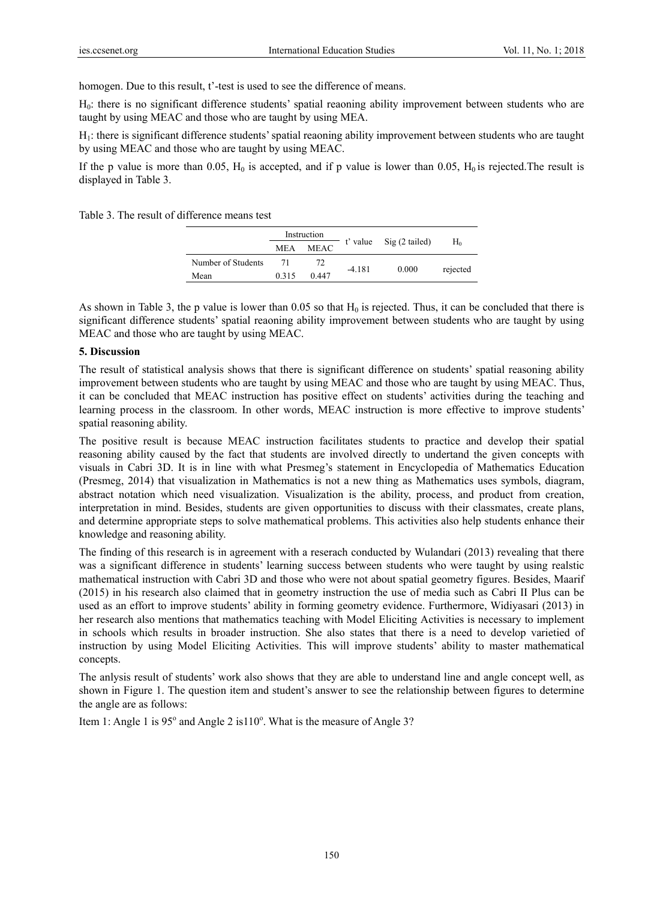homogen. Due to this result, t'-test is used to see the difference of means.

H0: there is no significant difference students' spatial reaoning ability improvement between students who are taught by using MEAC and those who are taught by using MEA.

H1: there is significant difference students' spatial reaoning ability improvement between students who are taught by using MEAC and those who are taught by using MEAC.

If the p value is more than 0.05,  $H_0$  is accepted, and if p value is lower than 0.05,  $H_0$  is rejected. The result is displayed in Table 3.

Table 3. The result of difference means test

|                    | Instruction |             |                           |          |
|--------------------|-------------|-------------|---------------------------|----------|
|                    | <b>MEA</b>  | <b>MEAC</b> | $t'$ value Sig (2 tailed) | $H_0$    |
| Number of Students | 71          | 72          |                           |          |
| Mean               | 0.315       | 0.447       | $-4.181$<br>0.000         | rejected |

As shown in Table 3, the p value is lower than 0.05 so that  $H_0$  is rejected. Thus, it can be concluded that there is significant difference students' spatial reaoning ability improvement between students who are taught by using MEAC and those who are taught by using MEAC.

#### **5. Discussion**

The result of statistical analysis shows that there is significant difference on students' spatial reasoning ability improvement between students who are taught by using MEAC and those who are taught by using MEAC. Thus, it can be concluded that MEAC instruction has positive effect on students' activities during the teaching and learning process in the classroom. In other words, MEAC instruction is more effective to improve students' spatial reasoning ability.

The positive result is because MEAC instruction facilitates students to practice and develop their spatial reasoning ability caused by the fact that students are involved directly to undertand the given concepts with visuals in Cabri 3D. It is in line with what Presmeg's statement in Encyclopedia of Mathematics Education (Presmeg, 2014) that visualization in Mathematics is not a new thing as Mathematics uses symbols, diagram, abstract notation which need visualization. Visualization is the ability, process, and product from creation, interpretation in mind. Besides, students are given opportunities to discuss with their classmates, create plans, and determine appropriate steps to solve mathematical problems. This activities also help students enhance their knowledge and reasoning ability.

The finding of this research is in agreement with a reserach conducted by Wulandari (2013) revealing that there was a significant difference in students' learning success between students who were taught by using realstic mathematical instruction with Cabri 3D and those who were not about spatial geometry figures. Besides, Maarif (2015) in his research also claimed that in geometry instruction the use of media such as Cabri II Plus can be used as an effort to improve students' ability in forming geometry evidence. Furthermore, Widiyasari (2013) in her research also mentions that mathematics teaching with Model Eliciting Activities is necessary to implement in schools which results in broader instruction. She also states that there is a need to develop varietied of instruction by using Model Eliciting Activities. This will improve students' ability to master mathematical concepts.

The anlysis result of students' work also shows that they are able to understand line and angle concept well, as shown in Figure 1. The question item and student's answer to see the relationship between figures to determine the angle are as follows:

Item 1: Angle 1 is  $95^\circ$  and Angle 2 is 110°. What is the measure of Angle 3?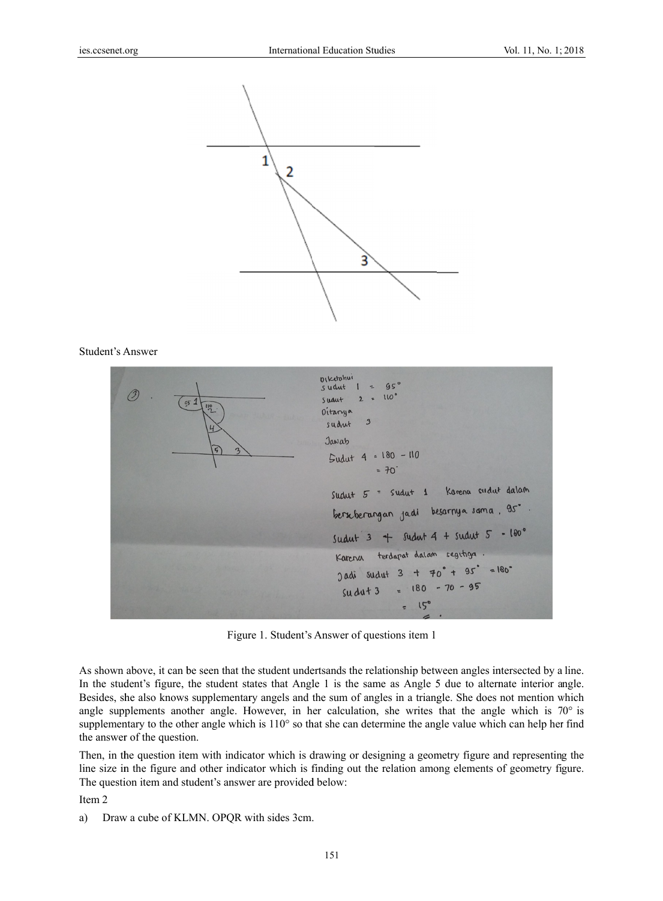

#### Student's A Answer

| $\circled{3}$<br>(951)<br>$\frac{110}{2}$<br>5)<br>$\mathcal{P}_{\mathcal{P}}$ | <b>Diketahui</b><br>$s$ udut $1 = 95^\circ$<br>$5$ uaut $2 \cdot 110^\circ$<br>Ditarya<br>sudut 3<br>Jawab<br>Sudut 4 = 180 - 110<br>$=70$     |
|--------------------------------------------------------------------------------|------------------------------------------------------------------------------------------------------------------------------------------------|
|                                                                                | Sudut 5 = sudut 1 Karena sudut dalam<br>berxberangan jadi besarnya sama, 95°.<br>Sudut $3 + 3$ dudnt $4 + 5$ udnt $5 - 180^\circ$              |
|                                                                                | Karena terdapat dalam segitiga.<br>$0$ adi sudut $3 + 70^\circ + 95^\circ = 180^\circ$<br>$Sudut3 = 180 - 70 - 95$<br>$= 15^{\circ}$<br>$\sim$ |

Figure 1. Student's Answer of questions item 1

As shown above, it can be seen that the student undertsands the relationship between angles intersected by a line. In the student's figure, the student states that Angle 1 is the same as Angle 5 due to alternate interior angle. Besides, she also knows supplementary angels and the sum of angles in a triangle. She does not mention which angle supplements another angle. However, in her calculation, she writes that the angle which is  $70^{\circ}$  is supplementary to the other angle which is  $110^{\circ}$  so that she can determine the angle value which can help her find the answer of the question.

Then, in the question item with indicator which is drawing or designing a geometry figure and representing the line size in the figure and other indicator which is finding out the relation among elements of geometry figure. The question item and student's answer are provided below:

Item 2

a) Draw a cube of KLMN. OPQR with sides 3cm.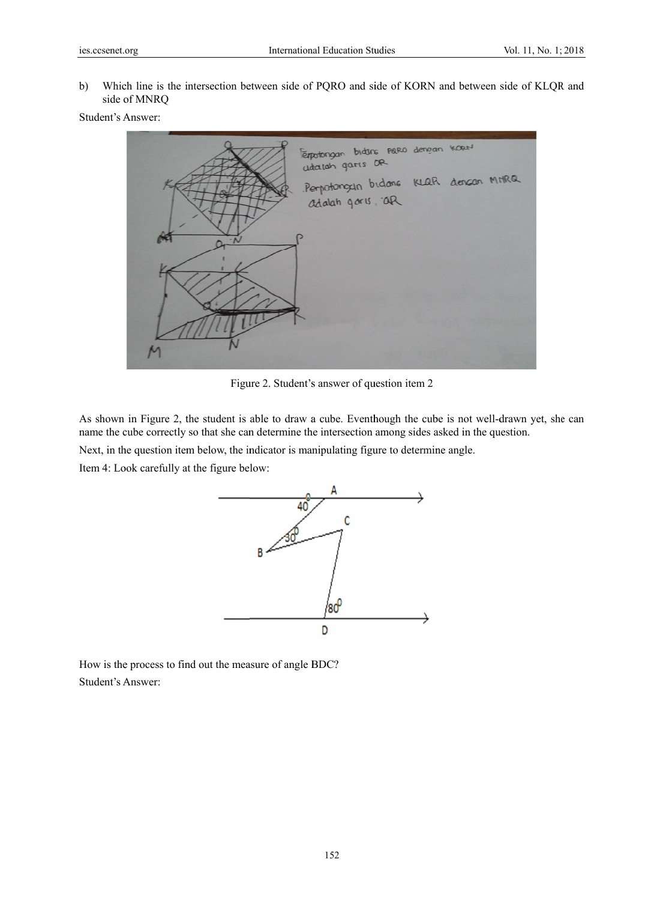b) Which line is the intersection between side of PQRO and side of KORN and between side of KLQR and side of MNRQ

Student's A Answer:



Figure 2. Student's answer of question item 2

As shown in Figure 2, the student is able to draw a cube. Eventhough the cube is not well-drawn yet, she can name the cube correctly so that she can determine the intersection among sides asked in the question.

Next, in the question item below, the indicator is manipulating figure to determine angle.

Item 4: Look carefully at the figure below:



How is the process to find out the measure of angle BDC? Student's A Answer: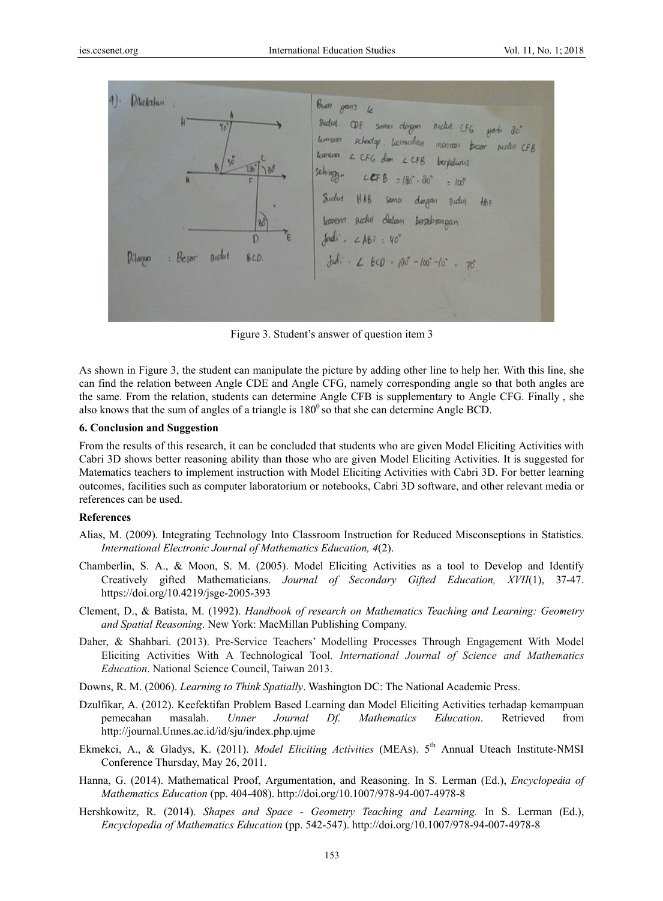

Figure 3. Student's answer of question item 3

As shown in Figure 3, the student can manipulate the picture by adding other line to help her. With this line, she can find the relation between Angle CDE and Angle CFG, namely corresponding angle so that both angles are the same. From the relation, students can determine Angle CFB is supplementary to Angle CFG. Finally, she also knows that the sum of angles of a triangle is  $180^{\circ}$  so that she can determine Angle BCD.

#### **6. Conclus sion and Sugg gestion**

From the results of this research, it can be concluded that students who are given Model Eliciting Activities with Cabri 3D shows better reasoning ability than those who are given Model Eliciting Activities. It is suggested for Matematics teachers to implement instruction with Model Eliciting Activities with Cabri 3D. For better learning outcomes, facilities such as computer laboratorium or notebooks, Cabri 3D software, and other relevant media or references can be used.

#### **Reference es**

- Alias, M. (2009). Integrating Technology Into Classroom Instruction for Reduced Misconseptions in Statistics. *International Electronic Journal of Mathematics Education, 4(2).*
- Chamberlin, S. A., & Moon, S. M. (2005). Model Eliciting Activities as a tool to Develop and Identify Creatively gifted Mathematicians. *Journal of Secondary Gifted Education, XVII*(1), 37-47. https://doi.org/10.4219/jsge-2005-393
- Clement, D D., & Batista, M. (1992). *H Handbook of r research on M Mathematics Te eaching and Le earning: Geom metry*  and Spatial Reasoning. New York: MacMillan Publishing Company.
- Daher, & Shahbari. (2013). Pre-Service Teachers' Modelling Processes Through Engagement With Model Eliciting Activities With A Technological Tool. *International Journal of Science and Mathematics* Education. National Science Council, Taiwan 2013.
- Downs, R. M. (2006). *Learning to Think Spatially*. Washington DC: The National Academic Press.
- Dzulfikar, A. (2012). Keefektifan Problem Based Learning dan Model Eliciting Activities terhadap kemampuan peme ecahan mas http://journal.Unnes.ac.id/id/sju/index.php.ujme masalah. *Unner*  $Journal$ *Df. Mat thematics E Education*. Retrieved from
- Ekmekci, A., & Gladys, K. (2011). Model Eliciting Activities (MEAs). 5<sup>th</sup> Annual Uteach Institute-NMSI Conference Thursday, May 26, 2011.
- Hanna, G. (2014). Mathematical Proof, Argumentation, and Reasoning. In S. Lerman (Ed.), *Encyclopedia of* Mathematics Education (pp. 404-408). http://doi.org/10.1007/978-94-007-4978-8
- Hershkowitz, R. (2014). *Shapes and Space Geometry Teaching and Learning*. In S. Lerman (Ed.), *Encyc clopedia of Ma athematics Edu ucation* (pp. 54 42-547). http:/ //doi.org/10.10 007/978-94-00 7-4978-8